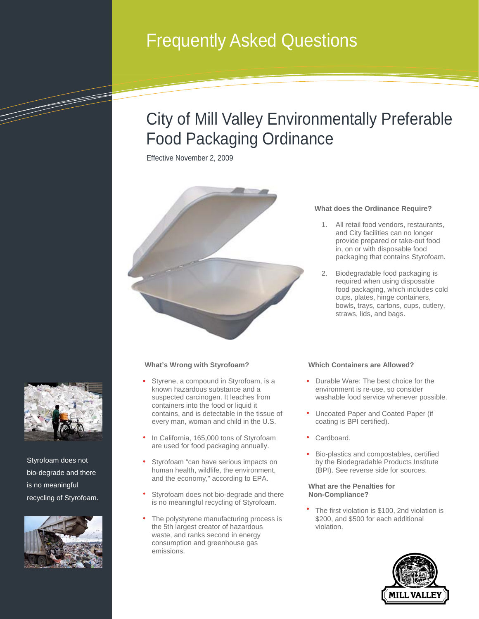# Frequently Asked Questions

## City of Mill Valley Environmentally Preferable Food Packaging Ordinance

Effective November 2, 2009



### **What does the Ordinance Require?**

- 1. All retail food vendors, restaurants, and City facilities can no longer provide prepared or take-out food in, on or with disposable food packaging that contains Styrofoam.
- 2. Biodegradable food packaging is required when using disposable food packaging, which includes cold cups, plates, hinge containers, bowls, trays, cartons, cups, cutlery, straws, lids, and bags.

#### **What's Wrong with Styrofoam?**

- Styrene, a compound in Styrofoam, is a known hazardous substance and a suspected carcinogen. It leaches from containers into the food or liquid it contains, and is detectable in the tissue of every man, woman and child in the U.S.
- In California, 165,000 tons of Styrofoam are used for food packaging annually.
- Styrofoam "can have serious impacts on human health, wildlife, the environment, and the economy," according to EPA.
- Styrofoam does not bio-degrade and there is no meaningful recycling of Styrofoam.
- The polystyrene manufacturing process is the 5th largest creator of hazardous waste, and ranks second in energy consumption and greenhouse gas emissions.

#### **Which Containers are Allowed?**

- Durable Ware: The best choice for the environment is re-use, so consider washable food service whenever possible.
- Uncoated Paper and Coated Paper (if coating is BPI certified).
- Cardboard.
- Bio-plastics and compostables, certified by the Biodegradable Products Institute (BPI). See reverse side for sources.

#### **What are the Penalties for Non-Compliance?**

The first violation is \$100, 2nd violation is \$200, and \$500 for each additional violation.





<u>Tarihi dhekatika dhekatika dhekatika dhekatika dhekatika dhekatika dhekatika dhekatika dhekatika dhekatika dh</u>

Styrofoam does not bio-degrade and there is no meaningful recycling of Styrofoam.